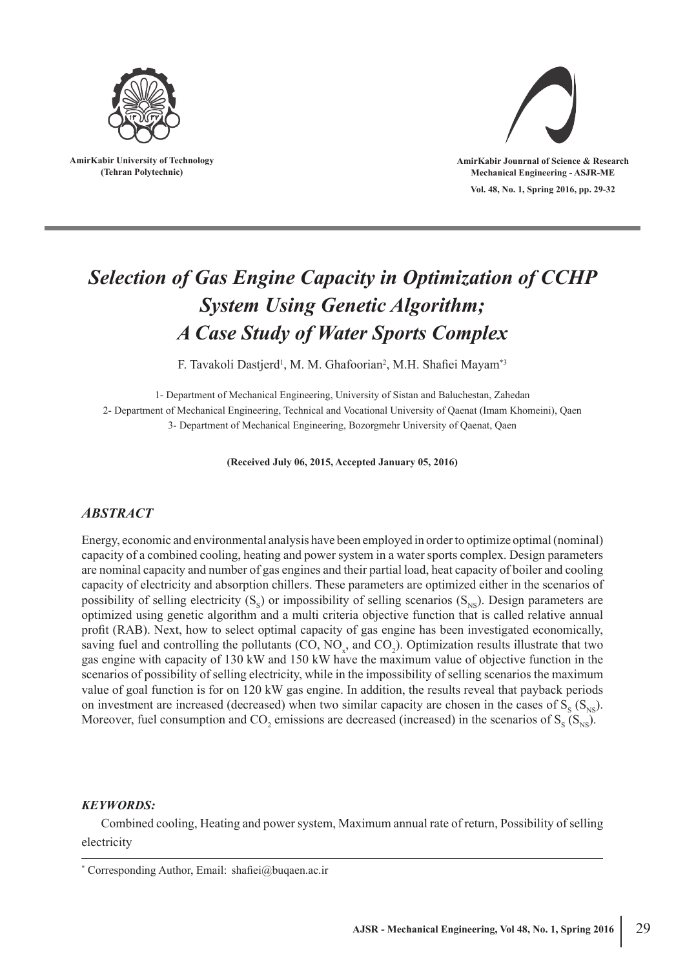

**AmirKabir University of Technology (Tehran Polytechnic)**



**Vol. 48, No. 1, Spring 2016, pp. 29-32 AmirKabir Jounrnal of Science & Research Mechanical Engineering - ASJR-ME**

# *Selection of Gas Engine Capacity in Optimization of CCHP System Using Genetic Algorithm; A Case Study of Water Sports Complex*

F. Tavakoli Dastjerd<sup>1</sup>, M. M. Ghafoorian<sup>2</sup>, M.H. Shafiei Mayam<sup>\*3</sup>

1- Department of Mechanical Engineering, University of Sistan and Baluchestan, Zahedan 2- Department of Mechanical Engineering, Technical and Vocational University of Qaenat (Imam Khomeini), Qaen 3- Department of Mechanical Engineering, Bozorgmehr University of Qaenat, Qaen

**(Received July 06, 2015, Accepted January 05, 2016)**

## *ABSTRACT*

Energy, economic and environmental analysis have been employed in order to optimize optimal (nominal) capacity of a combined cooling, heating and power system in a water sports complex. Design parameters are nominal capacity and number of gas engines and their partial load, heat capacity of boiler and cooling capacity of electricity and absorption chillers. These parameters are optimized either in the scenarios of possibility of selling electricity  $(S_s)$  or impossibility of selling scenarios  $(S_{_{NS}})$ . Design parameters are optimized using genetic algorithm and a multi criteria objective function that is called relative annual profit (RAB). Next, how to select optimal capacity of gas engine has been investigated economically, saving fuel and controlling the pollutants  $(CO, NO_x)$ , and  $CO_2$ ). Optimization results illustrate that two gas engine with capacity of 130 kW and 150 kW have the maximum value of objective function in the scenarios of possibility of selling electricity, while in the impossibility of selling scenarios the maximum value of goal function is for on 120 kW gas engine. In addition, the results reveal that payback periods on investment are increased (decreased) when two similar capacity are chosen in the cases of  $S_s$  ( $S_{NS}$ ). Moreover, fuel consumption and  $CO_2$  emissions are decreased (increased) in the scenarios of  $S_S(S_{NS})$ .

#### *KEYWORDS:*

Combined cooling, Heating and power system, Maximum annual rate of return, Possibility of selling electricity

<sup>\*</sup> Corresponding Author, Email: shafiei@buqaen.ac.ir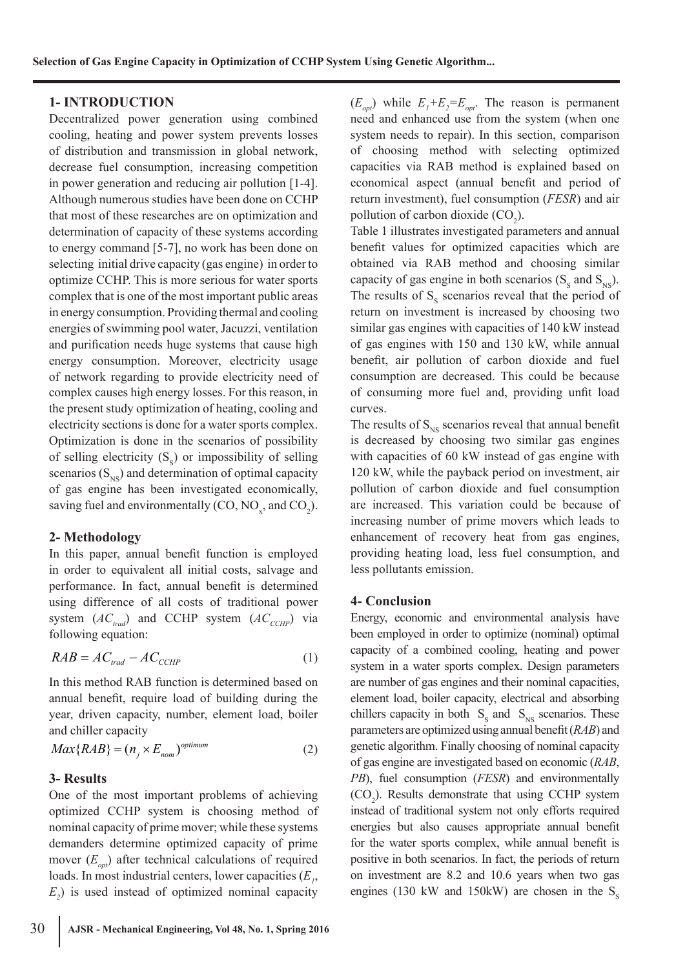### **1- INTRODUCTION**

Decentralized power generation using combined cooling, heating and power system prevents losses of distribution and transmission in global network, decrease fuel consumption, increasing competition in power generation and reducing air pollution [1-4]. Although numerous studies have been done on CCHP that most of these researches are on optimization and determination of capacity of these systems according to energy command [5-7], no work has been done on selecting initial drive capacity (gas engine) in order to optimize CCHP. This is more serious for water sports complex that is one of the most important public areas in energy consumption. Providing thermal and cooling energies of swimming pool water, Jacuzzi, ventilation and purification needs huge systems that cause high energy consumption. Moreover, electricity usage of network regarding to provide electricity need of complex causes high energy losses. For this reason, in the present study optimization of heating, cooling and electricity sections is done for a water sports complex. Optimization is done in the scenarios of possibility of selling electricity  $(S_s)$  or impossibility of selling scenarios  $(S_{NS})$  and determination of optimal capacity of gas engine has been investigated economically, saving fuel and environmentally (CO,  $\text{NO}_x$ , and  $\text{CO}_2$ ).

#### **2- Methodology**

In this paper, annual benefit function is employed in order to equivalent all initial costs, salvage and performance. In fact, annual benefit is determined using difference of all costs of traditional power system  $(AC_{trad})$  and CCHP system  $(AC_{CCHP})$  via following equation:

$$
RAB = AC_{trad} - AC_{CCHP} \tag{1}
$$

In this method RAB function is determined based on annual benefit, require load of building during the year, driven capacity, number, element load, boiler and chiller capacity

$$
Max\{RAB\} = (n_j \times E_{nom})^{optimum}
$$
 (2)

#### **3- Results**

One of the most important problems of achieving optimized CCHP system is choosing method of nominal capacity of prime mover; while these systems demanders determine optimized capacity of prime mover (*E opt*) after technical calculations of required loads. In most industrial centers, lower capacities  $(E_{\mu},$  $E_2$ ) is used instead of optimized nominal capacity

 $(E_{opt})$  while  $E_1 + E_2 = E_{opt}$ . The reason is permanent need and enhanced use from the system (when one system needs to repair). In this section, comparison of choosing method with selecting optimized capacities via RAB method is explained based on economical aspect (annual benefit and period of return investment), fuel consumption (*FESR*) and air pollution of carbon dioxide  $(CO_2)$ .

Table 1 illustrates investigated parameters and annual benefit values for optimized capacities which are obtained via RAB method and choosing similar capacity of gas engine in both scenarios  $(S_s \text{ and } S_{NS})$ . The results of  $S_s$  scenarios reveal that the period of return on investment is increased by choosing two similar gas engines with capacities of 140 kW instead of gas engines with 150 and 130 kW, while annual benefit, air pollution of carbon dioxide and fuel consumption are decreased. This could be because of consuming more fuel and, providing unfit load curves.

The results of  $S_{NS}$  scenarios reveal that annual benefit is decreased by choosing two similar gas engines with capacities of 60 kW instead of gas engine with 120 kW, while the payback period on investment, air pollution of carbon dioxide and fuel consumption are increased. This variation could be because of increasing number of prime movers which leads to enhancement of recovery heat from gas engines, providing heating load, less fuel consumption, and less pollutants emission.

#### **4- Conclusion**

Energy, economic and environmental analysis have been employed in order to optimize (nominal) optimal capacity of a combined cooling, heating and power system in a water sports complex. Design parameters are number of gas engines and their nominal capacities, element load, boiler capacity, electrical and absorbing chillers capacity in both  $S_s$  and  $S_{NS}$  scenarios. These parameters are optimized using annual benefit (*RAB*) and genetic algorithm. Finally choosing of nominal capacity of gas engine are investigated based on economic (*RAB*, *PB*), fuel consumption (*FESR*) and environmentally  $(CO<sub>2</sub>)$ . Results demonstrate that using CCHP system instead of traditional system not only efforts required energies but also causes appropriate annual benefit for the water sports complex, while annual benefit is positive in both scenarios. In fact, the periods of return on investment are 8.2 and 10.6 years when two gas engines (130 kW and 150kW) are chosen in the  $S_s$